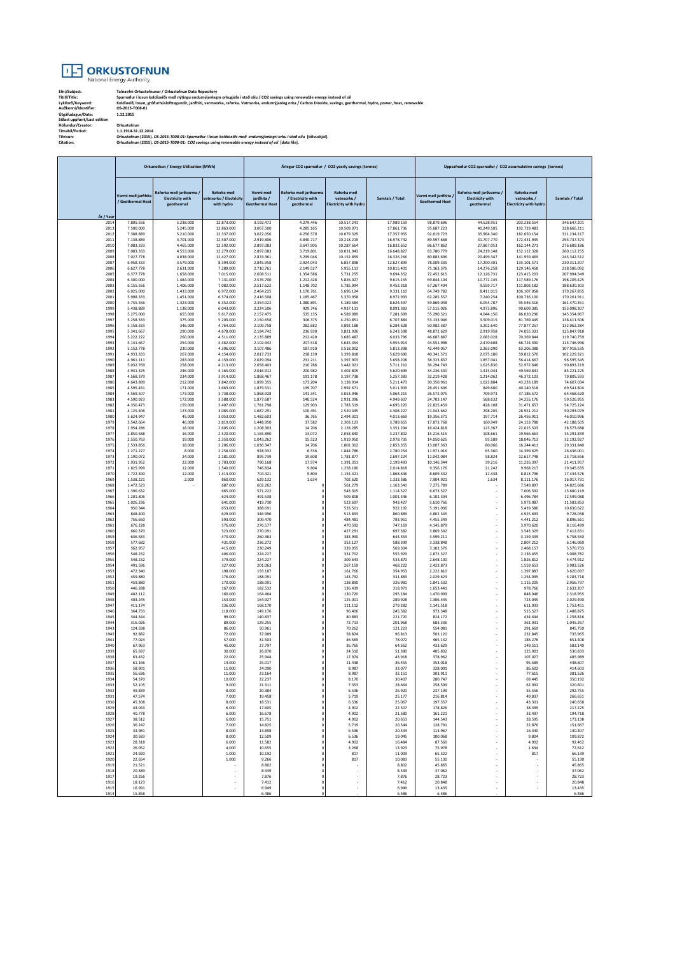

**Efni/Subject: Talnaefni Orkustofnunar / Orkustofnun Data Repository Titill/Title: Sparnaður í losun koldíoxíðs með nýtingu endurnýjanlegra orkugjafa í stað olíu / CO2 savings using renewable energy instead of oil Lykilorð/Keyword: Koldíoxíð, losun, gróðurhúslofttegundir, jarðhiti, varmaorka, raforka. Vatnsorka, endurnýjanleg orka / Carbon Dioxide, savings, geothermal, hydro, power, heat, renewable Auðkenni/Identifier: OS-2015-T008-01 Útgáfudagur/Date: 1.12.2015 Síðast uppfært/Last edition Höfundur/Creator: Orkustofnun Tímabil/Period: 1.1.1914-31.12.2014 Tilvísun: Orkustofnun (2015).** *OS-2015-T008-01: Sparnaður í losun koldíoxíðs með endurnýjanlegri orku í stað olíu* **[tölvuskjal]. Citation: Orkustofnun (2015).** *OS-2015-T008-01: CO2 savings using renewable energy instead of oil* **[data file].**

|              | Orkunotkun / Energy Utilization (MWh) |                                                                |                                                      | Árlegur CO2 sparnaður / CO2 yearly savings (tonnes) |                                                           |                                                             |                          | Uppsafnaður CO2 sparnaður / CO2 accumulative savings (tonnes) |                                                                |                                                             |                            |
|--------------|---------------------------------------|----------------------------------------------------------------|------------------------------------------------------|-----------------------------------------------------|-----------------------------------------------------------|-------------------------------------------------------------|--------------------------|---------------------------------------------------------------|----------------------------------------------------------------|-------------------------------------------------------------|----------------------------|
| Ár / Yea     | armi með jarðhit<br>Geothermal Heat   | Raforka með jarðvarma<br><b>Electricity with</b><br>geothermal | Raforka með<br>vatnsorku / Electricity<br>with hydro | Varmi með<br>jarðhita /<br><b>Geothermal Heat</b>   | Raforka með jarðvarma<br>/ Electricity with<br>geothermal | Raforka með<br>vatnsorku /<br><b>Electricity with hydro</b> | Samtals / Total          | armi með jarðhita<br><b>Geothermal Heat</b>                   | Raforka með jarðvarma<br><b>Electricity with</b><br>geothermal | Raforka með<br>vatnsorku /<br><b>Electricity with hydro</b> | Samtals / Total            |
| 201<br>2013  | 7.805.556<br>7.500.000                | 5.238.000<br>5.245.000                                         | 12.873.000<br>12.863.000                             | 3.192.472<br>3.067.500                              | 4.279.446<br>4.285.165                                    | 10.517.241<br>10.509.071                                    | 17.989.159<br>17.861.736 | 98.879.696<br>95.687.223                                      | 44.528.951<br>40.249.505                                       | 203.238.554<br>192.729.483                                  | 346.647.201<br>328.666.211 |
| 2012         | 7.388.889                             | 5.210.000                                                      | 12.337.000                                           | 3.022.056                                           | 4.256.570                                                 | 10.079.329                                                  | 17.357.955               | 92.619.723                                                    | 35.964.340                                                     | 182.650.154                                                 | 311.234.217                |
| 2011<br>2010 | 7.138.889<br>7.083.333                | 4.701.000<br>4.465.000                                         | 12.507.000<br>12.592.000                             | 2.919.806<br>2.897.083                              | 3.840.717<br>3.647.905                                    | 10.218.219<br>10.287.664                                    | 16.978.742<br>16.832.652 | 89.597.668<br>86.677.862                                      | 31.707.770<br>27.867.053                                       | 172.431.935<br>162.144.271                                  | 293.737.373<br>276.689.186 |
| 2009         | 7.083.333                             | 4.553.000                                                      | 12.279.000                                           | 2.897.083                                           | 3.719.801                                                 | 10.031.943                                                  | 16.648.827               | 83.780.779                                                    | 24.219.148                                                     | 152.112.328                                                 | 260.112.255                |
| 2008<br>2007 | 7.027.778<br>6.958.333                | 4.038.000<br>3.579.000                                         | 12.427.000<br>8.394.000                              | 2.874.361<br>2.845.958                              | 3.299.046<br>2.924.043                                    | 10.152.859<br>6,857,898                                     | 16.326.266<br>12 627 899 | 80.883.696<br>78.009.335                                      | 20.499.347<br>17,200,301                                       | 141.959.469<br>135, 101, 571                                | 243.342.512<br>230.311.207 |
| 2006         | 6.627.778                             | 2.631.000                                                      | 7.289.000                                            | 2.710.761                                           | 2.149.527                                                 | 5.955.113                                                   | 10.815.401               | 75.163.376                                                    | 14.276.258                                                     | 129.146.458                                                 | 218.586.092                |
| 200<br>2004  | 6.377.778<br>6.300.000                | 1.658.000<br>1,484,000                                         | 7.015.000<br>7.131.000                               | 2.608.511<br>2.576.700                              | 1.354.586<br>1.212.428                                    | 5.731.255<br>5.826.027                                      | 9.694.352<br>9.615.155   | 72.452.615<br>69.844.104                                      | 12.126.731<br>10.772.145                                       | 123.415.203<br>117.589.176                                  | 207.994.549<br>198.205.425 |
| 2003         | 6.155.556                             | 1.406.000                                                      | 7.082.000                                            | 2.517.622                                           | 1.148.702                                                 | 5.785.994                                                   | 9.452.318                | 67.267.404                                                    | 9.559.717                                                      | 111.803.182                                                 | 188.630.303                |
| 2002<br>2001 | 6.025.000<br>5.908.333                | 1.433.000<br>1,451,000                                         | 6.972.000<br>6,574,000                               | 2.464.225<br>2.416.508                              | 1.170.761<br>1.185.467                                    | 5.696.124<br>5.370.958                                      | 9.331.110<br>8.972.933   | 64.749.782<br>62.285.557                                      | 8.411.015<br>7.240.254                                         | 106.107.058<br>100.736.100                                  | 179.267.855<br>170.261.911 |
| 2000         | 5.755.556                             | 1.323.000                                                      | 6.352.000                                            | 2.354.022                                           | 1.080.891                                                 | 5.189.584                                                   | 8.624.497                | 59.869.048                                                    | 6.054.787                                                      | 95.546.516                                                  | 161.470.351                |
| 1999<br>1998 | 5.438.889<br>5.275.000                | 1.138.000<br>655.000                                           | 6.043.000<br>5.617.000                               | 2.224.506<br>2.157.475                              | 929.746<br>535.135                                        | 4.937.131<br>4.589.089                                      | 8.091.383<br>7.281.699   | 57.515.026<br>55.290.521                                      | 4.973.896<br>4.044.150                                         | 90.609.385<br>86.020.296                                    | 153.098.307<br>145.354.967 |
| 1997         | 5.258.333                             | 375.000                                                        | 5.203.000                                            | 2.150.658                                           | 306.375                                                   | 4.250.851                                                   | 6.707.884                | 53.133.046                                                    | 3.509.015                                                      | 81.769.445                                                  | 138.411.506                |
| 1996         | 5.158.333                             | 346.000                                                        | 4.764.000                                            | 2.109.758                                           | 282.682                                                   | 3.892.188                                                   | 6.284.628                | 50.982.387                                                    | 3.202.640                                                      | 77.877.257                                                  | 132.062.284                |
| 1995<br>1994 | 5.341.667<br>5.222.222                | 290.000<br>260.000                                             | 4.678.000<br>4.511.000                               | 2.184.742<br>2.135.889                              | 236.930<br>212.420                                        | 3.821.926<br>3.685.487                                      | 6.243.598<br>6.033.796   | 48.872.629<br>46.687.887                                      | 2.919.958<br>2.683.028                                         | 74.055.331<br>70.369.844                                    | 125.847.918<br>119.740.759 |
| 1993<br>1992 | 5.141.667                             | 254,000<br>230.000                                             | 4.462.000<br>4.306.000                               | 2.102.942<br>2.107.486                              | 207.518                                                   | 3.645.454                                                   | 5.955.914                | 44.551.998<br>42.449.057                                      | 2.470.608                                                      | 66,724,390<br>63.206.388                                    | 113,746,996                |
| 1991         | 5.152.778<br>4.933.333                | 267.000                                                        | 4.154.000                                            | 2.017.733                                           | 187.910<br>218.139                                        | 3.518.002<br>3.393.818                                      | 5.813.398<br>5.629.690   | 40.341.571                                                    | 2.263.090<br>2.075.180                                         | 59.812.570                                                  | 107.918.535<br>102.229.321 |
| 1990         | 4.961.111                             | 283,000                                                        | 4.159.000                                            | 2.029.094                                           | 231.211                                                   | 3.397.903                                                   | 5.658.208                | 38.323.837                                                    | 1.857.041                                                      | 56.414.667                                                  | 96.595.545                 |
| 1989<br>1988 | 5.032.769<br>4.931.325                | 258.000<br>246.000                                             | 4.213.000<br>4.165.000                               | 2.058.403<br>2.016.912                              | 210.786<br>200.982                                        | 3.442.021<br>3.402.805                                      | 5.711.210<br>5.620.699   | 36.294.743<br>34.236.340                                      | 1.625.830<br>1.415.044                                         | 52.972.646<br>49.569.841                                    | 90.893.219<br>85.221.225   |
| 1987<br>1986 | 4.568.379<br>4.643.899                | 234,000<br>212.000                                             | 3.914.000<br>3.842.000                               | 1.868.467<br>1.899.355                              | 191.178<br>173.204                                        | 3.197.738<br>3.138.914                                      | 5.257.383<br>5.211.473   | 32.219.428<br>30.350.961                                      | 1.214.062<br>1.022.884                                         | 46 372 103<br>43.233.189                                    | 79 805 593<br>74,607,034   |
| 1985         | 4.595.431                             | 171.000                                                        | 3.663.000                                            | 1.879.531                                           | 139.707                                                   | 2.992.671                                                   | 5.011.909                | 28.451.606                                                    | 849.680                                                        | 40.240.518                                                  | 69.541.804                 |
| 1984<br>198  | 4.569.507<br>4.590.923                | 173.000<br>172.000                                             | 3.738.000<br>3.588.000                               | 1.868.928<br>1.877.687                              | 141.341<br>140.524                                        | 3.053.946<br>2.931.396                                      | 5.064.215<br>4.949.607   | 26.572.075<br>24.703.147                                      | 709.973<br>568.632                                             | 37,186,572<br>34.255.176                                    | 64.468.620<br>59.526.955   |
| 1982         | 4.356.473                             | 159,000                                                        | 3.407.000                                            | 1,781,798                                           | 129.903                                                   | 2.783.519                                                   | 4.695.220                | 22.825.459                                                    | 428,108                                                        | 31.471.657                                                  | 54,725,224                 |
| 1981         | 4.125.406                             | 123.000                                                        | 3.085.000                                            | 1.687.291                                           | 100.491                                                   | 2.520.445                                                   | 4.308.227                | 21.043.662                                                    | 298.205                                                        | 28.951.212                                                  | 50.293.079                 |
| 1980<br>1979 | 3.624.947<br>3.542.664                | 45.000<br>46,000                                               | 3.053.000<br>2.819.000                               | 1.482.603<br>1,448,950                              | 36.765<br>37,582                                          | 2.494.301<br>2.303.123                                      | 4.013.669<br>3,789,655   | 19.356.371<br>17.873.768                                      | 197.714<br>160,949                                             | 26.456.911<br>24 153 788                                    | 46.010.996<br>42.188.505   |
| 1978         | 2.954.286                             | 18.000                                                         | 2.605.000                                            | 1.208.303                                           | 14.706                                                    | 2.128.285                                                   | 3.351.294                | 16.424.818                                                    | 123.367                                                        | 22.025.503                                                  | 38.573.688                 |
| 1977<br>1976 | 2.850.588<br>2.550.763                | 16.000<br>19,000                                               | 2.520.000<br>2.350.000                               | 1.165.890<br>1.043.262                              | 13.072<br>15.523                                          | 2.058.840<br>1.919.950                                      | 3.237.802<br>2.978.735   | 15.216.515<br>14.050.625                                      | 108.661<br>95,589                                              | 19.966.663<br>18.046.713                                    | 35.291.839<br>32.192.927   |
| 1975         | 2.533.856                             | 18.000                                                         | 2.206.000                                            | 1.036.347                                           | 14.706                                                    | 1.802.302                                                   | 2.853.355                | 13.007.363                                                    | 80.066                                                         | 16.244.411                                                  | 29.331.840                 |
| 1974<br>1973 | 2.271.227<br>2.190.072                | 8.000<br>24.000                                                | 2.258.000<br>2.181.000                               | 928.932<br>895.739                                  | 6.536<br>19.608                                           | 1.844.786<br>1.781.877                                      | 2.780.254<br>2.697.224   | 11.971.016<br>11.042.084                                      | 65.360<br>58.824                                               | 14.399.625<br>12.617.748                                    | 26.436.001<br>23.718.656   |
| 1972         | 1.931.952                             | 22.000                                                         | 1.703.000                                            | 790.168                                             | 17.974                                                    | 1.391.351                                                   | 2.199.493                | 10.146.344                                                    | 39.216                                                         | 11.226.397                                                  | 21.411.957                 |
| 1971<br>1970 | 1.825.999<br>1.722.300                | 12,000<br>12.000                                               | 1.540.000<br>1.413.000                               | 746,834<br>704.421                                  | 9.804<br>9.804                                            | 1.258.180<br>1.154.421                                      | 2.014.818<br>1.868.646   | 9.356.176<br>8.609.342                                        | 21.242<br>11.438                                               | 9.968.217<br>8.813.796                                      | 19.345.635<br>17.434.576   |
| 1969<br>1968 | 1.538.221<br>1.472.523                | 2.000                                                          | 860.000<br>687,000                                   | 629.132<br>602.262                                  | 1.634                                                     | 702.620<br>561.279                                          | 1.333.386                | 7.904.921<br>7.275.789                                        | 1.634                                                          | 8.111.176<br>7.549.897                                      | 16.017.731                 |
| 1967         | 1.396.632                             |                                                                | 665.000                                              | 571.222                                             | c<br>C                                                    | 543.305                                                     | 1.163.541<br>1.114.527   | 6.673.527                                                     |                                                                | 7.006.592                                                   | 14.825.686<br>13.680.119   |
| 1966<br>1965 | 1.201.806<br>1.026.236                |                                                                | 624.000<br>641.000                                   | 491.538<br>419.730                                  | $\bf{0}$<br>$^{\circ}$                                    | 509.808<br>523.697                                          | 1.001.346<br>943,427     | 6.102.304<br>5.610.766                                        |                                                                | 6.496.784<br>5.973.087                                      | 12.599.088<br>11.583.853   |
| 1964         | 950.344                               |                                                                | 653.000                                              | 388.691                                             | 0                                                         | 533.501                                                     | 922.192                  | 5.191.036                                                     |                                                                | 5.439.586                                                   | 10.630.622                 |
| 1963         | 848.400                               |                                                                | 629.000                                              | 346.996                                             | $\mathbf 0$                                               | 513.893<br>484.481                                          | 860.889                  | 4.802.345                                                     |                                                                | 4.925.693                                                   | 9.728.038                  |
| 1962<br>196  | 756.650<br>676.228                    |                                                                | 593.000<br>576.000                                   | 309.470<br>276.577                                  | $\bf{0}$<br>0                                             | 470.592                                                     | 793.951<br>747.169       | 4.455.349<br>4.145.879                                        |                                                                | 4.441.212<br>3.970.620                                      | 8.896.561<br>8.116.499     |
| 1960<br>1959 | 660.370<br>636.583                    |                                                                | 523.000<br>470.000                                   | 270.091<br>260.363                                  | $\mathbf 0$<br>$\bf{0}$                                   | 427.291<br>383.990                                          | 697.382<br>644.353       | 3.869.302<br>3.599.211                                        |                                                                | 3.543.329<br>3.159.339                                      | 7.412.631<br>6.758.550     |
| 1958         | 577.682                               |                                                                | 431.000                                              | 236.272                                             | 0                                                         | 352.127                                                     | 588.399                  | 3.338.848                                                     |                                                                | 2.807.212                                                   | 6.146.060                  |
| 1957<br>1956 | 562.957<br>548.232                    |                                                                | 415,000<br>406.000                                   | 230.249<br>224.227                                  | 0<br>$\mathbf 0$                                          | 339.055<br>331.702                                          | 569,304<br>555.929       | 3.102.576<br>2.872.327                                        |                                                                | 2.468.157                                                   | 5.570.733                  |
| 1955         | 548.232                               |                                                                | 379.000                                              | 224.227                                             | $\mathbf 0$                                               | 309.643                                                     | 533.870                  | 2.648.100                                                     |                                                                | 2.136.455<br>1.826.812                                      | 5.008.782<br>4.474.912     |
| 1954<br>1953 | 491.596<br>472.340                    |                                                                | 327.000<br>198.000                                   | 201.063<br>193.187                                  | $^{\circ}$<br>0                                           | 267,159<br>161.766                                          | 468.222<br>354.953       | 2.423.873<br>2.222.810                                        |                                                                | 1.559.653<br>1.397.887                                      | 3.983.526<br>3.620.697     |
| 1952         | 459.880                               |                                                                | 176.000                                              | 188.091                                             | $\mathbf 0$                                               | 143.792                                                     | 331.883                  | 2.029.623                                                     |                                                                | 1.254.095                                                   | 3.283.718                  |
| 1951<br>1950 | 459,880<br>446.288                    |                                                                | 170,000<br>167.000                                   | 188,091<br>182.532                                  | 0<br>$\bf{0}$                                             | 138,890<br>136.439                                          | 326.981<br>318.971       | 1.841.532<br>1.653.441                                        |                                                                | 1.115.205<br>978.766                                        | 2.956.737<br>2.632.207     |
| 1949         | 402.112                               |                                                                | 160.000                                              | 164.464                                             | $\mathbf 0$                                               | 130.720                                                     | 295.184                  | 1.470.909                                                     |                                                                | 848.046                                                     | 2.318.955                  |
| 1948<br>1947 | 403.245<br>411.174                    |                                                                | 153.000<br>136.000                                   | 164.927<br>168.170                                  | $\bf{0}$<br>0                                             | 125.001<br>111.112                                          | 289.928<br>279.282       | 1.306.445<br>1.141.518                                        |                                                                | 723.045<br>611.933                                          | 2.029.490<br>1.753.451     |
| 1946         | 364,733                               |                                                                | 118,000                                              | 149.176                                             | $^{\circ}$                                                | 96,406                                                      | 245.582                  | 973.348                                                       |                                                                | 515.527                                                     | 1.488.875                  |
| 1945<br>194  | 344.344<br>316.026                    |                                                                | 99.000<br>89.000                                     | 140.837<br>129.255                                  | $\bf{0}$<br>$\circ$                                       | 80.883<br>72.713                                            | 221.720<br>201.968       | 824.172<br>683.336                                            |                                                                | 434.644<br>361.931                                          | 1.258.816<br>1.045.267     |
| 1943         | 124.598                               |                                                                | 86,000                                               | 50.961                                              | $^{\circ}$                                                | 70.262                                                      | 121.223                  | 554.081                                                       |                                                                | 291.669                                                     | 845,750                    |
| 1942<br>1941 | 92.882<br>77.024                      |                                                                | 72.000<br>57.000                                     | 37.989<br>31.503                                    | $\mathbf 0$<br>$\bf{0}$                                   | 58.824<br>46.569                                            | 96.813<br>78.072         | 503.120<br>465.132                                            |                                                                | 232.845<br>186.276                                          | 735.965<br>651.408         |
| 1940         | 67.963                                |                                                                | 45,000                                               | 27.797                                              | $^{\circ}$                                                | 36.765                                                      | 64.562                   | 433.629                                                       |                                                                | 149.511                                                     | 583.140                    |
| 1939<br>193  | 65.697<br>63.432                      |                                                                | 30.000<br>22.000                                     | 26.870<br>25.944                                    | $\bf{0}$                                                  | 24.510<br>17.974                                            | 51.380<br>43.918         | 405.832<br>378.962                                            |                                                                | 125.001<br>107.027                                          | 530.833<br>485.989         |
| 1937         | 61.166                                |                                                                | 14,000                                               | 25.017                                              | $\bf{0}$                                                  | 11.438                                                      | 36.455                   | 353.018                                                       |                                                                | 95.589                                                      | 448.607                    |
| 1936<br>1935 | 58.901<br>56.636                      |                                                                | 11.000<br>11.000                                     | 24.090<br>23.164                                    | $\bf{0}$<br>$\mathbf 0$                                   | 8.987<br>8.987                                              | 33.077<br>32.151         | 328.001<br>303.911                                            |                                                                | 86.602<br>77.615                                            | 414.603<br>381.526         |
| 1934         | 54.370                                |                                                                | 10,000                                               | 22.237                                              | $\mathbf 0$                                               | 8.170                                                       | 30,407                   | 280,747                                                       |                                                                | 69.445                                                      | 350.192                    |
| 193<br>1932  | 52.105<br>49.839                      |                                                                | 9.000<br>8.000                                       | 21.311<br>20,384                                    | $\bf{0}$<br>$\mathbf 0$                                   | 7.353<br>6.536                                              | 28.664<br>26,920         | 258.509<br>237.199                                            |                                                                | 62.092<br>55.556                                            | 320.601<br>292.755         |
| 1931         | 47.574                                |                                                                | 7.000                                                | 19.458                                              | $\mathbf 0$                                               | 5.719                                                       | 25.177                   | 216.814                                                       | ×                                                              | 49.837                                                      | 266.651                    |
| 1930<br>1929 | 45.308<br>43.043                      |                                                                | 8.000<br>6.000                                       | 18.531<br>17,605                                    | $\mathbf 0$<br>$^{\circ}$                                 | 6.536<br>4.902                                              | 25.067<br>22.507         | 197.357<br>178.826                                            | ×                                                              | 43.301<br>38.399                                            | 240.658<br>217.225         |
| 1928         | 40.778                                |                                                                | 6.000                                                | 16.678                                              | $\bf{0}$                                                  | 4.902                                                       | 21.580                   | 161.221                                                       |                                                                | 33.497                                                      | 194.718                    |
| 1927<br>1926 | 38.512<br>36.247                      |                                                                | 6.000<br>7,000                                       | 15.751<br>14,825                                    | $\mathbf 0$<br>$^{\circ}$                                 | 4.902<br>5.719                                              | 20.653<br>20,544         | 144.543<br>128,791                                            | $\sim$                                                         | 28.595<br>22.876                                            | 173.138<br>151.667         |
| 1925         | 33.981                                |                                                                | 8.000                                                | 13.898                                              | $\bf{0}$                                                  | 6.536                                                       | 20.434                   | 113.967                                                       |                                                                | 16.340                                                      | 130.307                    |
| 1924<br>1923 | 30.583<br>28.318                      |                                                                | 8.000<br>6.000                                       | 12.509<br>11.582                                    | $\mathbf 0$<br>$\bf{0}$                                   | 6.536<br>4.902                                              | 19.045<br>16,484         | 100.068<br>87.560                                             | ×                                                              | 9.804<br>4.902                                              | 109.872<br>92.462          |
| 1922         | 26.052                                |                                                                | 4.000                                                | 10.655                                              | $\bf{0}$                                                  | 3.268                                                       | 13.923                   | 75.978                                                        |                                                                | 1.634                                                       | 77.612                     |
| 1921<br>1920 | 24.920<br>22.654                      |                                                                | 1.000<br>1.000                                       | 10.192<br>9.266                                     | $^{\circ}$<br>$\bf{0}$                                    | 817<br>817                                                  | 11.009<br>10.083         | 65.322<br>55.130                                              | ×<br>×                                                         | 817                                                         | 66.139<br>55.130           |
| 1919         | 21.521                                |                                                                |                                                      | 8.802                                               | $\mathbf 0$                                               |                                                             | 8.802                    | 45.865                                                        |                                                                |                                                             | 45.865                     |
| 1918<br>1917 | 20,389<br>19.256                      |                                                                |                                                      | 8.339<br>7.876                                      | $\mathbf 0$<br>$\mathbf 0$                                |                                                             | 8.339<br>7.876           | 37.062<br>28.723                                              |                                                                | ×,                                                          | 37.062<br>28.723           |
| 1916<br>1915 | 18.123<br>16.991                      |                                                                |                                                      | 7.412<br>6.949                                      | $\mathbf 0$<br>$\mathbf 0$                                |                                                             | 7.412                    | 20.848<br>13.435                                              |                                                                |                                                             | 20.848<br>13.435           |
| 1914         | 15.858                                |                                                                |                                                      | 6.486                                               |                                                           |                                                             | 6.949<br>6.486           | 6.486                                                         |                                                                |                                                             | 6.486                      |
|              |                                       |                                                                |                                                      |                                                     |                                                           |                                                             |                          |                                                               |                                                                |                                                             |                            |